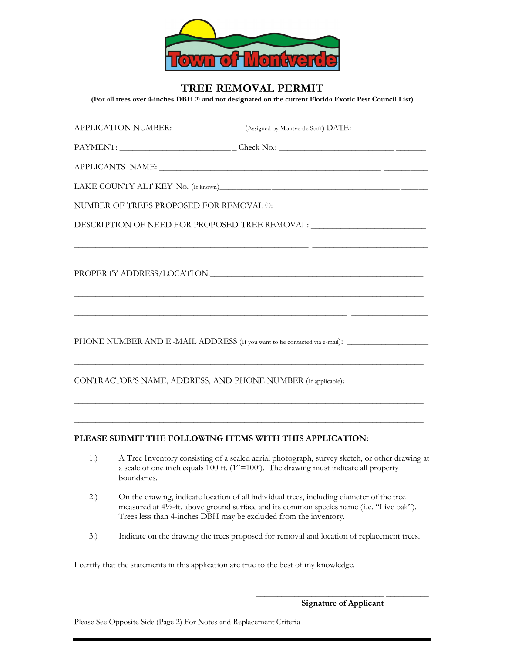

## **TREE REMOVAL PERMIT**

**(For all trees over 4-inches DBH (1) and not designated on the current Florida Exotic Pest Council List)**

|                                                                                                                       | $\frac{PAYMENT: \qquad \qquad \text{Check No.:} \qquad \qquad }$               |
|-----------------------------------------------------------------------------------------------------------------------|--------------------------------------------------------------------------------|
|                                                                                                                       |                                                                                |
|                                                                                                                       |                                                                                |
|                                                                                                                       | NUMBER OF TREES PROPOSED FOR REMOVAL ${}^{(1)}$ : $\hfill\blacksquare$         |
| DESCRIPTION OF NEED FOR PROPOSED TREE REMOVAL: _________________________________                                      |                                                                                |
|                                                                                                                       |                                                                                |
| <u> 1999 - Johann Harry Harry Harry Harry Harry Harry Harry Harry Harry Harry Harry Harry Harry Harry Harry Harry</u> |                                                                                |
|                                                                                                                       |                                                                                |
|                                                                                                                       |                                                                                |
|                                                                                                                       | CONTRACTOR'S NAME, ADDRESS, AND PHONE NUMBER (If applicable): ________________ |
|                                                                                                                       |                                                                                |

## **PLEASE SUBMIT THE FOLLOWING ITEMS WITH THIS APPLICATION:**

1.) A Tree Inventory consisting of a scaled aerial photograph, survey sketch, or other drawing at a scale of one inch equals 100 ft. (1"=100'). The drawing must indicate all property boundaries.

\_\_\_\_\_\_\_\_\_\_\_\_\_\_\_\_\_\_\_\_\_\_\_\_\_\_\_\_\_\_\_\_\_\_\_\_\_\_\_\_\_\_\_\_\_\_\_\_\_\_\_\_\_\_\_\_\_\_\_\_\_\_\_\_\_\_\_\_\_\_\_\_\_\_\_\_\_\_\_\_\_\_

- 2.) On the drawing, indicate location of all individual trees, including diameter of the tree measured at 4½-ft. above ground surface and its common species name ( i.e. "Live oak"). Trees less than 4-inches DBH may be excluded from the inventory.
- 3.) Indicate on the drawing the trees proposed for removal and location of replacement trees.

 $\frac{1}{2}$  , and the state of the state of the state of the state of the state of the state of the state of the state of the state of the state of the state of the state of the state of the state of the state of the state

I certify that the statements in this application are true to the best of my knowledge.

**Signature of Applicant**

Please See Opposite Side (Page 2) For Notes and Replacement Criteria